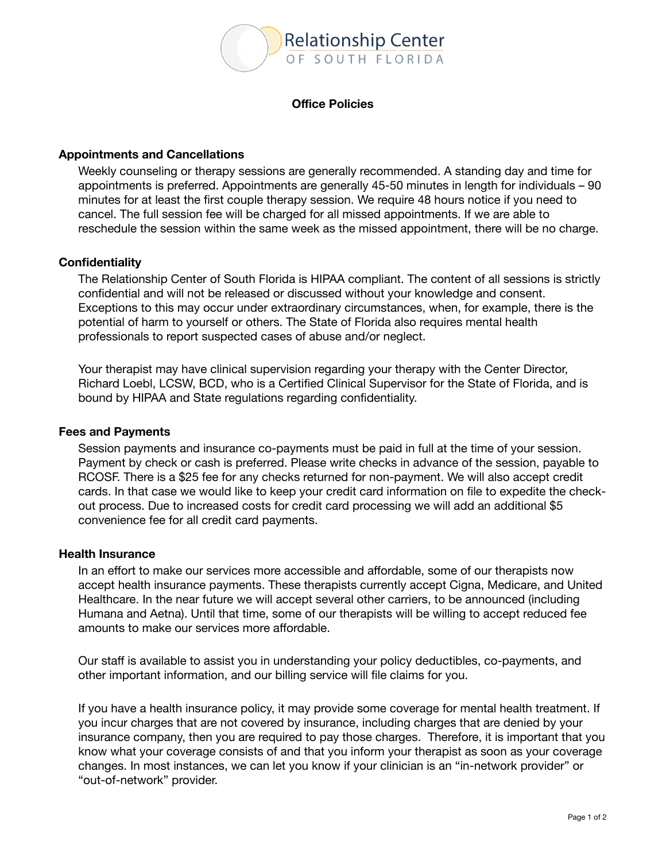

## **Office Policies**

# **Appointments and Cancellations**

Weekly counseling or therapy sessions are generally recommended. A standing day and time for appointments is preferred. Appointments are generally 45-50 minutes in length for individuals – 90 minutes for at least the first couple therapy session. We require 48 hours notice if you need to cancel. The full session fee will be charged for all missed appointments. If we are able to reschedule the session within the same week as the missed appointment, there will be no charge.

# **Confidentiality**

The Relationship Center of South Florida is HIPAA compliant. The content of all sessions is strictly confidential and will not be released or discussed without your knowledge and consent. Exceptions to this may occur under extraordinary circumstances, when, for example, there is the potential of harm to yourself or others. The State of Florida also requires mental health professionals to report suspected cases of abuse and/or neglect.

Your therapist may have clinical supervision regarding your therapy with the Center Director, Richard Loebl, LCSW, BCD, who is a Certified Clinical Supervisor for the State of Florida, and is bound by HIPAA and State regulations regarding confidentiality.

#### **Fees and Payments**

Session payments and insurance co-payments must be paid in full at the time of your session. Payment by check or cash is preferred. Please write checks in advance of the session, payable to RCOSF. There is a \$25 fee for any checks returned for non-payment. We will also accept credit cards. In that case we would like to keep your credit card information on file to expedite the checkout process. Due to increased costs for credit card processing we will add an additional \$5 convenience fee for all credit card payments.

## **Health Insurance**

In an effort to make our services more accessible and affordable, some of our therapists now accept health insurance payments. These therapists currently accept Cigna, Medicare, and United Healthcare. In the near future we will accept several other carriers, to be announced (including Humana and Aetna). Until that time, some of our therapists will be willing to accept reduced fee amounts to make our services more affordable.

Our staff is available to assist you in understanding your policy deductibles, co-payments, and other important information, and our billing service will file claims for you.

If you have a health insurance policy, it may provide some coverage for mental health treatment. If you incur charges that are not covered by insurance, including charges that are denied by your insurance company, then you are required to pay those charges. Therefore, it is important that you know what your coverage consists of and that you inform your therapist as soon as your coverage changes. In most instances, we can let you know if your clinician is an "in-network provider" or "out-of-network" provider.